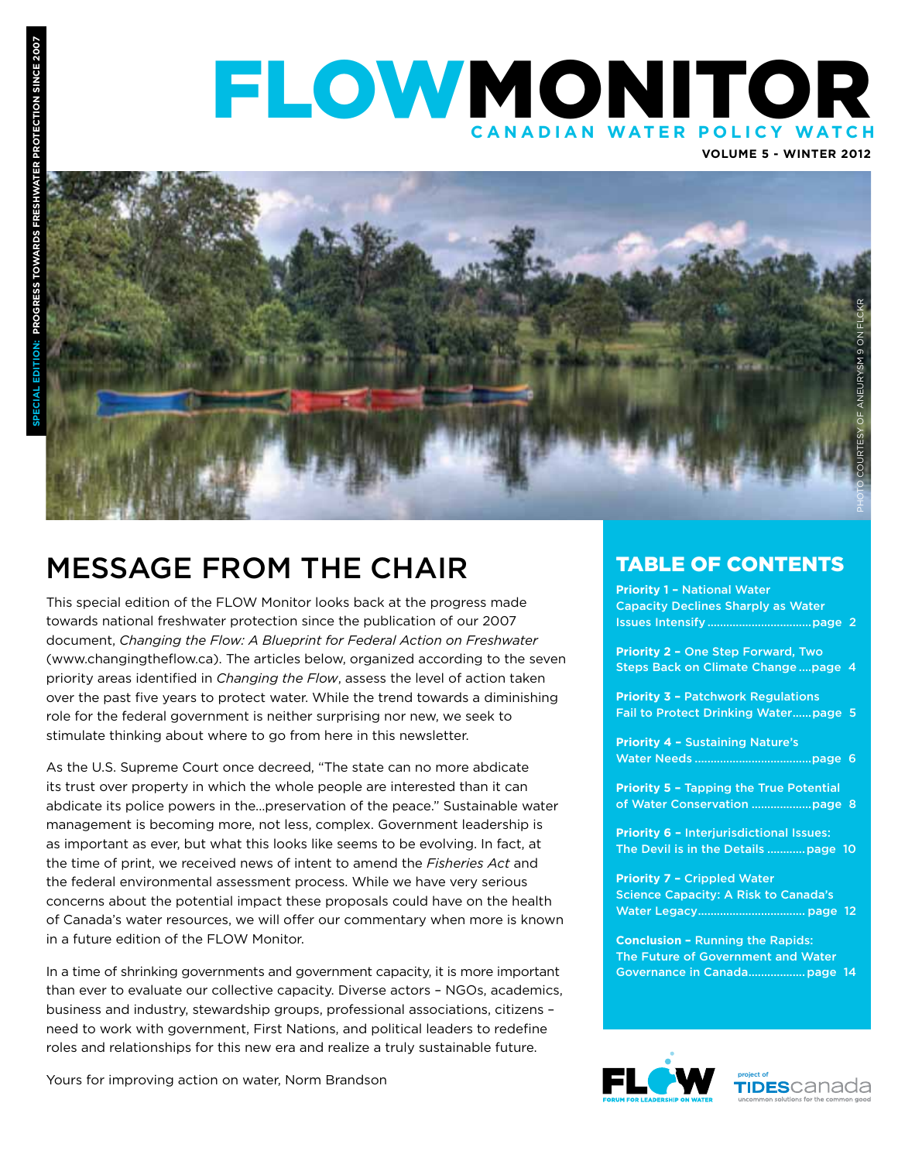### FLOWMONITOR **CANADIAN WATER POLICY WA o**<br>
<br>
<br>
<br>
<br>
<br>
<br>
<br><br><br><br><br><br><br>





### Message from the Chair

This special edition of the FLOW Monitor looks back at the progress made towards national freshwater protection since the publication of our 2007 document, *Changing the Flow: A Blueprint for Federal Action on Freshwater*  (www.changingtheflow.ca). The articles below, organized according to the seven priority areas identified in *Changing the Flow*, assess the level of action taken over the past five years to protect water. While the trend towards a diminishing role for the federal government is neither surprising nor new, we seek to stimulate thinking about where to go from here in this newsletter.

As the U.S. Supreme Court once decreed, "The state can no more abdicate its trust over property in which the whole people are interested than it can abdicate its police powers in the...preservation of the peace." Sustainable water management is becoming more, not less, complex. Government leadership is as important as ever, but what this looks like seems to be evolving. In fact, at the time of print, we received news of intent to amend the *Fisheries Act* and the federal environmental assessment process. While we have very serious concerns about the potential impact these proposals could have on the health of Canada's water resources, we will offer our commentary when more is known in a future edition of the FLOW Monitor.

In a time of shrinking governments and government capacity, it is more important than ever to evaluate our collective capacity. Diverse actors – NGOs, academics, business and industry, stewardship groups, professional associations, citizens – need to work with government, First Nations, and political leaders to redefine roles and relationships for this new era and realize a truly sustainable future.

Yours for improving action on water, Norm Brandson

### TABLE OF CONTENTS

**Priority 1 –** National Water Capacity Declines Sharply as Water Issues Intensify .................................page 2

**Priority 2 –** One Step Forward, Two Steps Back on Climate Change ....page 4

**Priority 3 - Patchwork Regulations** Fail to Protect Drinking Water......page 5

**Priority 4 –** Sustaining Nature's Water Needs .....................................page 6

**Priority 5 –** Tapping the True Potential of Water Conservation ...................page 8

**Priority 6 - Interjurisdictional Issues:** The Devil is in the Details ............page 10

**Priority 7 –** Crippled Water Science Capacity: A Risk to Canada's Water Legacy.................................. page 12

**Conclusion –** Running the Rapids: The Future of Government and Water Governance in Canada..................page 14



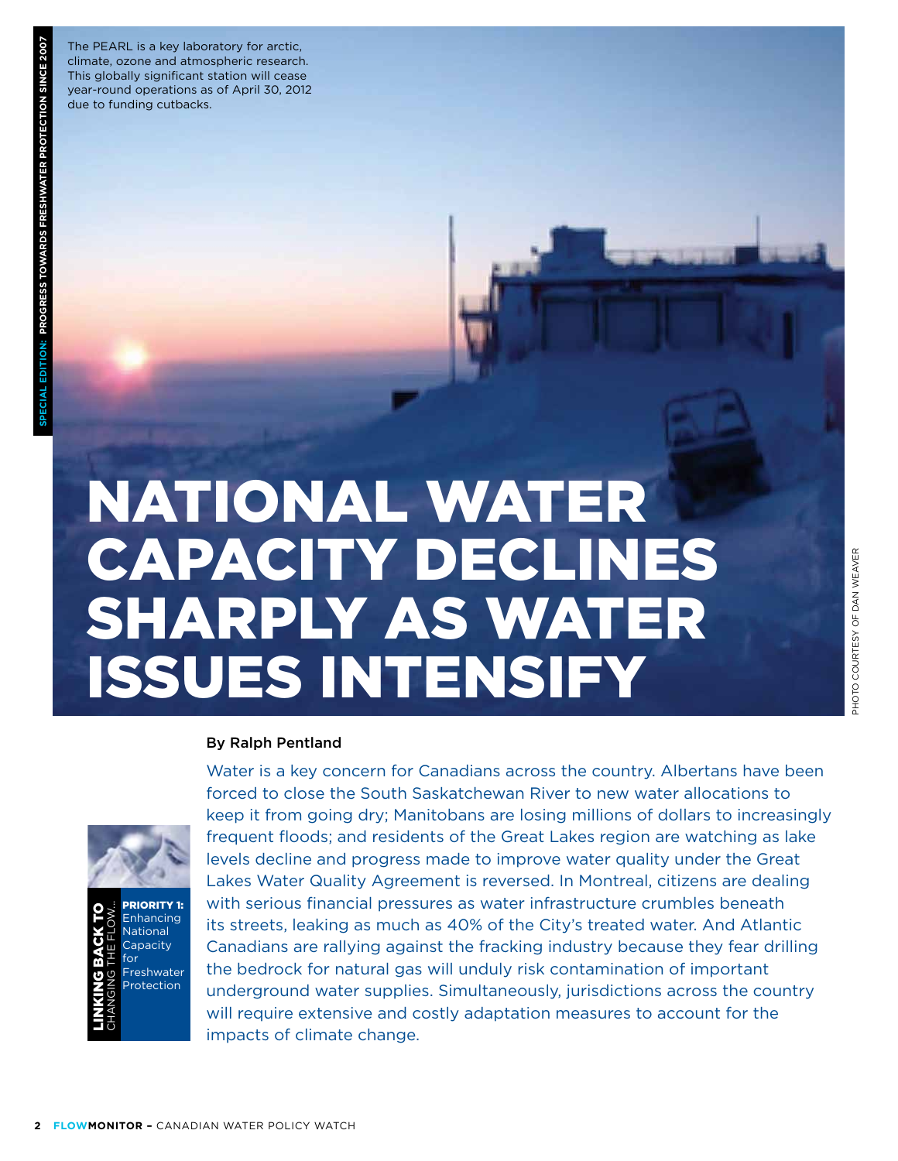The PEARL is a key laboratory for arctic, climate, ozone and atmospheric research. This globally significant station will cease year-round operations as of April 30, 2012 due to funding cutbacks.

# National Water Capacity Declines Sharply as Water **CAPACITY DECLINES<br>SHARPLY AS WATER<br>ISSUES INTENSIFY**

#### By Ralph Pentland



Priority 1: **Enhancing** National **Capacity** for **Freshwater** Protection Linking back t oChanging the Flow...

Water is a key concern for Canadians across the country. Albertans have been forced to close the South Saskatchewan River to new water allocations to keep it from going dry; Manitobans are losing millions of dollars to increasingly frequent floods; and residents of the Great Lakes region are watching as lake levels decline and progress made to improve water quality under the Great Lakes Water Quality Agreement is reversed. In Montreal, citizens are dealing with serious financial pressures as water infrastructure crumbles beneath its streets, leaking as much as 40% of the City's treated water. And Atlantic Canadians are rallying against the fracking industry because they fear drilling the bedrock for natural gas will unduly risk contamination of important underground water supplies. Simultaneously, jurisdictions across the country will require extensive and costly adaptation measures to account for the impacts of climate change.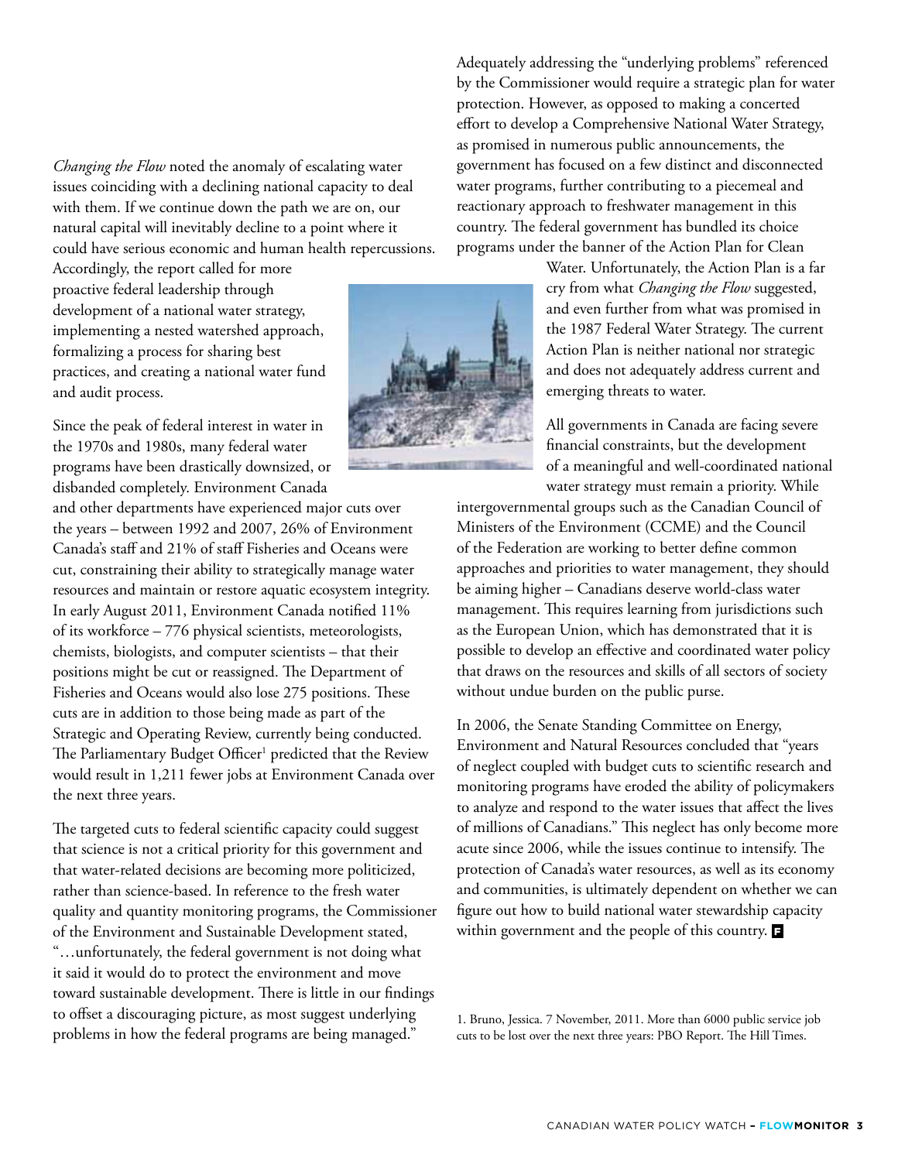*Changing the Flow* noted the anomaly of escalating water issues coinciding with a declining national capacity to deal with them. If we continue down the path we are on, our natural capital will inevitably decline to a point where it could have serious economic and human health repercussions.

Accordingly, the report called for more proactive federal leadership through development of a national water strategy, implementing a nested watershed approach, formalizing a process for sharing best practices, and creating a national water fund and audit process.

Since the peak of federal interest in water in the 1970s and 1980s, many federal water programs have been drastically downsized, or disbanded completely. Environment Canada

and other departments have experienced major cuts over the years – between 1992 and 2007, 26% of Environment Canada's staff and 21% of staff Fisheries and Oceans were cut, constraining their ability to strategically manage water resources and maintain or restore aquatic ecosystem integrity. In early August 2011, Environment Canada notified 11% of its workforce – 776 physical scientists, meteorologists, chemists, biologists, and computer scientists – that their positions might be cut or reassigned. The Department of Fisheries and Oceans would also lose 275 positions. These cuts are in addition to those being made as part of the Strategic and Operating Review, currently being conducted. The Parliamentary Budget Officer<sup>1</sup> predicted that the Review would result in 1,211 fewer jobs at Environment Canada over the next three years.

The targeted cuts to federal scientific capacity could suggest that science is not a critical priority for this government and that water-related decisions are becoming more politicized, rather than science-based. In reference to the fresh water quality and quantity monitoring programs, the Commissioner of the Environment and Sustainable Development stated, "…unfortunately, the federal government is not doing what it said it would do to protect the environment and move toward sustainable development. There is little in our findings to offset a discouraging picture, as most suggest underlying problems in how the federal programs are being managed."

Adequately addressing the "underlying problems" referenced by the Commissioner would require a strategic plan for water protection. However, as opposed to making a concerted effort to develop a Comprehensive National Water Strategy, as promised in numerous public announcements, the government has focused on a few distinct and disconnected water programs, further contributing to a piecemeal and reactionary approach to freshwater management in this country. The federal government has bundled its choice programs under the banner of the Action Plan for Clean

> Water. Unfortunately, the Action Plan is a far cry from what *Changing the Flow* suggested, and even further from what was promised in the 1987 Federal Water Strategy. The current Action Plan is neither national nor strategic and does not adequately address current and emerging threats to water.

All governments in Canada are facing severe financial constraints, but the development of a meaningful and well-coordinated national water strategy must remain a priority. While

intergovernmental groups such as the Canadian Council of Ministers of the Environment (CCME) and the Council of the Federation are working to better define common approaches and priorities to water management, they should be aiming higher – Canadians deserve world-class water management. This requires learning from jurisdictions such as the European Union, which has demonstrated that it is possible to develop an effective and coordinated water policy that draws on the resources and skills of all sectors of society without undue burden on the public purse.

In 2006, the Senate Standing Committee on Energy, Environment and Natural Resources concluded that "years of neglect coupled with budget cuts to scientific research and monitoring programs have eroded the ability of policymakers to analyze and respond to the water issues that affect the lives of millions of Canadians." This neglect has only become more acute since 2006, while the issues continue to intensify. The protection of Canada's water resources, as well as its economy and communities, is ultimately dependent on whether we can figure out how to build national water stewardship capacity within government and the people of this country.  $\blacksquare$ 

1. Bruno, Jessica. 7 November, 2011. More than 6000 public service job cuts to be lost over the next three years: PBO Report. The Hill Times.

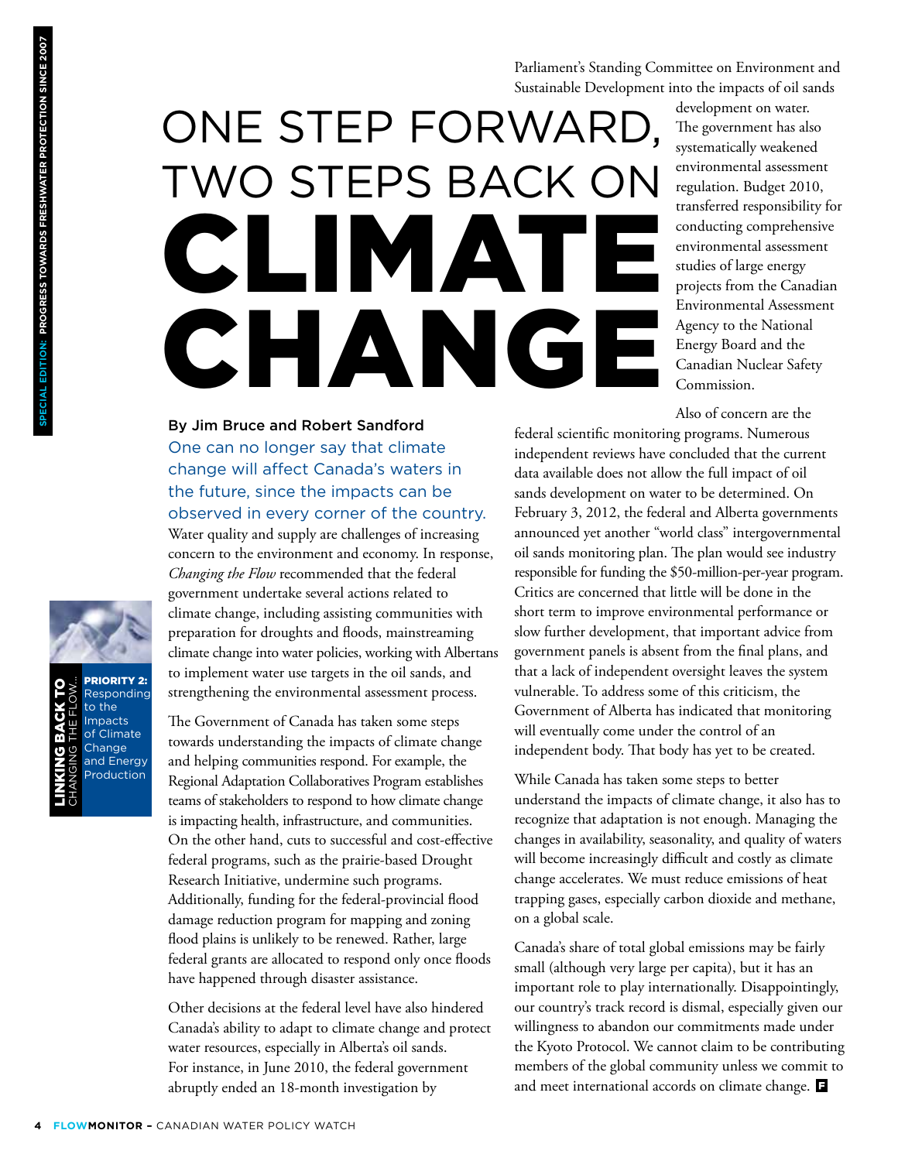Parliament's Standing Committee on Environment and Sustainable Development into the impacts of oil sands

# One Step Forward, Two Steps Back on Climate CHANGE

development on water. The government has also systematically weakened environmental assessment regulation. Budget 2010, transferred responsibility for conducting comprehensive environmental assessment studies of large energy projects from the Canadian Environmental Assessment Agency to the National Energy Board and the Canadian Nuclear Safety Commission.

Also of concern are the

By Jim Bruce and Robert Sandford One can no longer say that climate change will affect Canada's waters in the future, since the impacts can be observed in every corner of the country.

Water quality and supply are challenges of increasing concern to the environment and economy. In response, *Changing the Flow* recommended that the federal government undertake several actions related to climate change, including assisting communities with preparation for droughts and floods, mainstreaming climate change into water policies, working with Albertans to implement water use targets in the oil sands, and strengthening the environmental assessment process.

The Government of Canada has taken some steps towards understanding the impacts of climate change and helping communities respond. For example, the Regional Adaptation Collaboratives Program establishes teams of stakeholders to respond to how climate change is impacting health, infrastructure, and communities. On the other hand, cuts to successful and cost-effective federal programs, such as the prairie-based Drought Research Initiative, undermine such programs. Additionally, funding for the federal-provincial flood damage reduction program for mapping and zoning flood plains is unlikely to be renewed. Rather, large federal grants are allocated to respond only once floods have happened through disaster assistance.

Other decisions at the federal level have also hindered Canada's ability to adapt to climate change and protect water resources, especially in Alberta's oil sands. For instance, in June 2010, the federal government abruptly ended an 18-month investigation by

federal scientific monitoring programs. Numerous independent reviews have concluded that the current data available does not allow the full impact of oil sands development on water to be determined. On February 3, 2012, the federal and Alberta governments announced yet another "world class" intergovernmental oil sands monitoring plan. The plan would see industry responsible for funding the \$50-million-per-year program. Critics are concerned that little will be done in the short term to improve environmental performance or slow further development, that important advice from government panels is absent from the final plans, and that a lack of independent oversight leaves the system vulnerable. To address some of this criticism, the Government of Alberta has indicated that monitoring will eventually come under the control of an independent body. That body has yet to be created.

While Canada has taken some steps to better understand the impacts of climate change, it also has to recognize that adaptation is not enough. Managing the changes in availability, seasonality, and quality of waters will become increasingly difficult and costly as climate change accelerates. We must reduce emissions of heat trapping gases, especially carbon dioxide and methane, on a global scale.

Canada's share of total global emissions may be fairly small (although very large per capita), but it has an important role to play internationally. Disappointingly, our country's track record is dismal, especially given our willingness to abandon our commitments made under the Kyoto Protocol. We cannot claim to be contributing members of the global community unless we commit to and meet international accords on climate change.



Responding to the Impacts of Climate **Change** and Energy Production Linking back t Changing the Flow...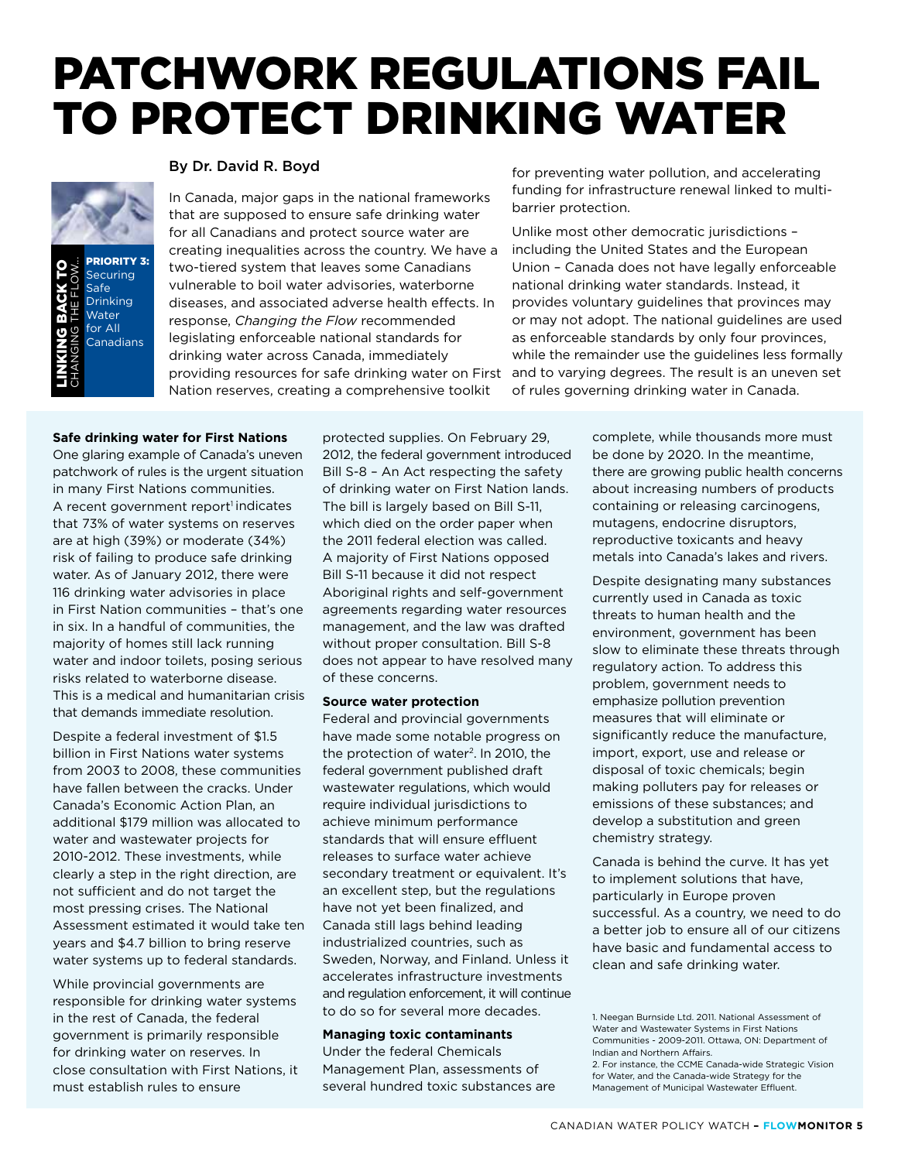### Patchwork Regulations Fail to Protect Drinking Water





#### By Dr. David R. Boyd

In Canada, major gaps in the national frameworks that are supposed to ensure safe drinking water for all Canadians and protect source water are creating inequalities across the country. We have a two-tiered system that leaves some Canadians vulnerable to boil water advisories, waterborne diseases, and associated adverse health effects. In response, *Changing the Flow* recommended legislating enforceable national standards for drinking water across Canada, immediately providing resources for safe drinking water on First Nation reserves, creating a comprehensive toolkit

for preventing water pollution, and accelerating funding for infrastructure renewal linked to multibarrier protection.

Unlike most other democratic jurisdictions – including the United States and the European Union – Canada does not have legally enforceable national drinking water standards. Instead, it provides voluntary guidelines that provinces may or may not adopt. The national guidelines are used as enforceable standards by only four provinces, while the remainder use the guidelines less formally and to varying degrees. The result is an uneven set of rules governing drinking water in Canada.

#### **Safe drinking water for First Nations**

One glaring example of Canada's uneven patchwork of rules is the urgent situation in many First Nations communities. A recent government report<sup>1</sup> indicates that 73% of water systems on reserves are at high (39%) or moderate (34%) risk of failing to produce safe drinking water. As of January 2012, there were 116 drinking water advisories in place in First Nation communities – that's one in six. In a handful of communities, the majority of homes still lack running water and indoor toilets, posing serious risks related to waterborne disease. This is a medical and humanitarian crisis that demands immediate resolution.

Despite a federal investment of \$1.5 billion in First Nations water systems from 2003 to 2008, these communities have fallen between the cracks. Under Canada's Economic Action Plan, an additional \$179 million was allocated to water and wastewater projects for 2010-2012. These investments, while clearly a step in the right direction, are not sufficient and do not target the most pressing crises. The National Assessment estimated it would take ten years and \$4.7 billion to bring reserve water systems up to federal standards.

While provincial governments are responsible for drinking water systems in the rest of Canada, the federal government is primarily responsible for drinking water on reserves. In close consultation with First Nations, it must establish rules to ensure

protected supplies. On February 29, 2012, the federal government introduced Bill S-8 – An Act respecting the safety of drinking water on First Nation lands. The bill is largely based on Bill S-11, which died on the order paper when the 2011 federal election was called. A majority of First Nations opposed Bill S-11 because it did not respect Aboriginal rights and self-government agreements regarding water resources management, and the law was drafted without proper consultation. Bill S-8 does not appear to have resolved many of these concerns.

#### **Source water protection**

Federal and provincial governments have made some notable progress on the protection of water<sup>2</sup>. In 2010, the federal government published draft wastewater regulations, which would require individual jurisdictions to achieve minimum performance standards that will ensure effluent releases to surface water achieve secondary treatment or equivalent. It's an excellent step, but the regulations have not yet been finalized, and Canada still lags behind leading industrialized countries, such as Sweden, Norway, and Finland. Unless it accelerates infrastructure investments and regulation enforcement, it will continue to do so for several more decades.

#### **Managing toxic contaminants**

Under the federal Chemicals Management Plan, assessments of several hundred toxic substances are complete, while thousands more must be done by 2020. In the meantime, there are growing public health concerns about increasing numbers of products containing or releasing carcinogens, mutagens, endocrine disruptors, reproductive toxicants and heavy metals into Canada's lakes and rivers.

Despite designating many substances currently used in Canada as toxic threats to human health and the environment, government has been slow to eliminate these threats through regulatory action. To address this problem, government needs to emphasize pollution prevention measures that will eliminate or significantly reduce the manufacture, import, export, use and release or disposal of toxic chemicals; begin making polluters pay for releases or emissions of these substances; and develop a substitution and green chemistry strategy.

Canada is behind the curve. It has yet to implement solutions that have, particularly in Europe proven successful. As a country, we need to do a better job to ensure all of our citizens have basic and fundamental access to clean and safe drinking water.

<sup>1.</sup> Neegan Burnside Ltd. 2011. National Assessment of Water and Wastewater Systems in First Nations Communities - 2009-2011. Ottawa, ON: Department of Indian and Northern Affairs.

<sup>2.</sup> For instance, the CCME Canada-wide Strategic Vision for Water, and the Canada-wide Strategy for the Management of Municipal Wastewater Effluent.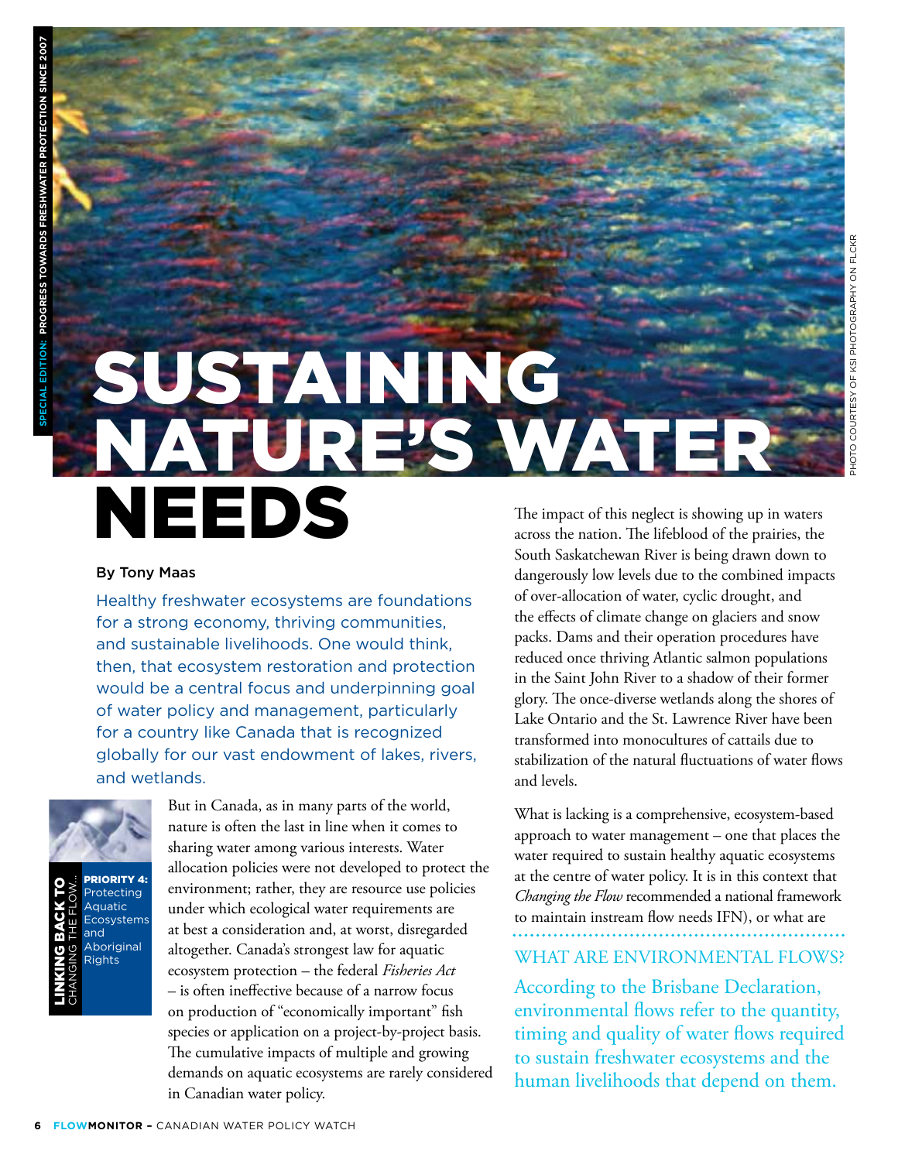# SUSTAINING<br>NATURE'S W Nature's Water **NEEDS**

#### By Tony Maas

Healthy freshwater ecosystems are foundations for a strong economy, thriving communities, and sustainable livelihoods. One would think, then, that ecosystem restoration and protection would be a central focus and underpinning goal of water policy and management, particularly for a country like Canada that is recognized globally for our vast endowment of lakes, rivers, and wetlands.



**RIORITY 4: Protecting** Aquatic **Ecosystems** and Aboriginal Rights Linking back t oChanging the Flow...

But in Canada, as in many parts of the world, nature is often the last in line when it comes to sharing water among various interests. Water allocation policies were not developed to protect the environment; rather, they are resource use policies under which ecological water requirements are at best a consideration and, at worst, disregarded altogether. Canada's strongest law for aquatic ecosystem protection – the federal *Fisheries Act*  – is often ineffective because of a narrow focus on production of "economically important" fish species or application on a project-by-project basis. The cumulative impacts of multiple and growing demands on aquatic ecosystems are rarely considered in Canadian water policy.

The impact of this neglect is showing up in waters across the nation. The lifeblood of the prairies, the South Saskatchewan River is being drawn down to dangerously low levels due to the combined impacts of over-allocation of water, cyclic drought, and the effects of climate change on glaciers and snow packs. Dams and their operation procedures have reduced once thriving Atlantic salmon populations in the Saint John River to a shadow of their former glory. The once-diverse wetlands along the shores of Lake Ontario and the St. Lawrence River have been transformed into monocultures of cattails due to stabilization of the natural fluctuations of water flows and levels.

Photo courtesy of KSI Photography on Flckr

**OTO** 

COURTESY OF KSI PHOTOGRAPHY ON FLCKR

What is lacking is a comprehensive, ecosystem-based approach to water management – one that places the water required to sustain healthy aquatic ecosystems at the centre of water policy. It is in this context that *Changing the Flow* recommended a national framework to maintain instream flow needs IFN), or what are WHAT ARE ENVIRONMENTAL FLOWS?

According to the Brisbane Declaration, environmental flows refer to the quantity, timing and quality of water flows required to sustain freshwater ecosystems and the human livelihoods that depend on them.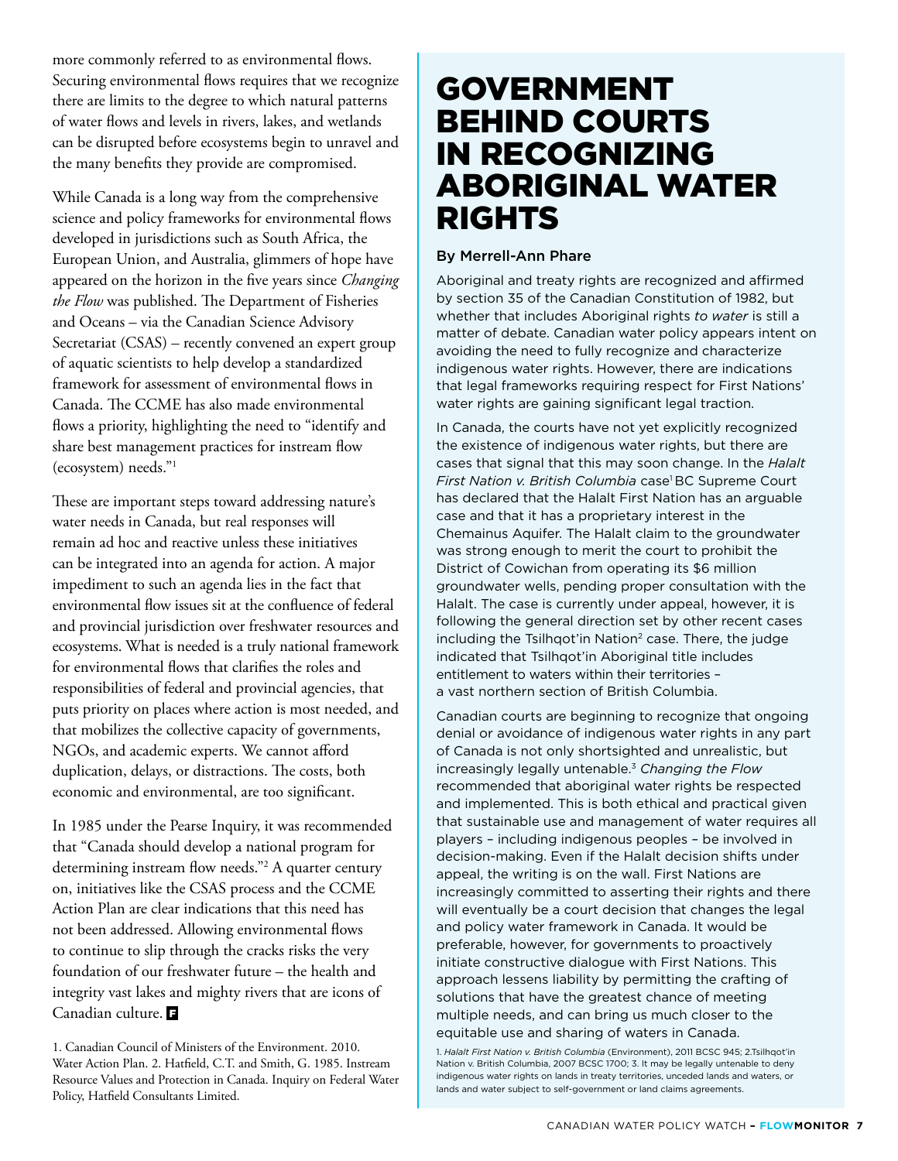more commonly referred to as environmental flows. Securing environmental flows requires that we recognize there are limits to the degree to which natural patterns of water flows and levels in rivers, lakes, and wetlands can be disrupted before ecosystems begin to unravel and the many benefits they provide are compromised.

While Canada is a long way from the comprehensive science and policy frameworks for environmental flows developed in jurisdictions such as South Africa, the European Union, and Australia, glimmers of hope have appeared on the horizon in the five years since *Changing the Flow* was published. The Department of Fisheries and Oceans – via the Canadian Science Advisory Secretariat (CSAS) – recently convened an expert group of aquatic scientists to help develop a standardized framework for assessment of environmental flows in Canada. The CCME has also made environmental flows a priority, highlighting the need to "identify and share best management practices for instream flow (ecosystem) needs."1

These are important steps toward addressing nature's water needs in Canada, but real responses will remain ad hoc and reactive unless these initiatives can be integrated into an agenda for action. A major impediment to such an agenda lies in the fact that environmental flow issues sit at the confluence of federal and provincial jurisdiction over freshwater resources and ecosystems. What is needed is a truly national framework for environmental flows that clarifies the roles and responsibilities of federal and provincial agencies, that puts priority on places where action is most needed, and that mobilizes the collective capacity of governments, NGOs, and academic experts. We cannot afford duplication, delays, or distractions. The costs, both economic and environmental, are too significant.

In 1985 under the Pearse Inquiry, it was recommended that "Canada should develop a national program for determining instream flow needs."2 A quarter century on, initiatives like the CSAS process and the CCME Action Plan are clear indications that this need has not been addressed. Allowing environmental flows to continue to slip through the cracks risks the very foundation of our freshwater future – the health and integrity vast lakes and mighty rivers that are icons of Canadian culture.

### **GOVERNMENT** Behind Courts in Recognizing Aboriginal Water **RIGHTS**

#### By Merrell-Ann Phare

Aboriginal and treaty rights are recognized and affirmed by section 35 of the Canadian Constitution of 1982, but whether that includes Aboriginal rights *to water* is still a matter of debate. Canadian water policy appears intent on avoiding the need to fully recognize and characterize indigenous water rights. However, there are indications that legal frameworks requiring respect for First Nations' water rights are gaining significant legal traction.

In Canada, the courts have not yet explicitly recognized the existence of indigenous water rights, but there are cases that signal that this may soon change. In the *Halalt*  First Nation v. British Columbia case<sup>1</sup> BC Supreme Court has declared that the Halalt First Nation has an arguable case and that it has a proprietary interest in the Chemainus Aquifer. The Halalt claim to the groundwater was strong enough to merit the court to prohibit the District of Cowichan from operating its \$6 million groundwater wells, pending proper consultation with the Halalt. The case is currently under appeal, however, it is following the general direction set by other recent cases including the Tsilhgot'in Nation<sup>2</sup> case. There, the judge indicated that Tsilhqot'in Aboriginal title includes entitlement to waters within their territories – a vast northern section of British Columbia.

Canadian courts are beginning to recognize that ongoing denial or avoidance of indigenous water rights in any part of Canada is not only shortsighted and unrealistic, but increasingly legally untenable.3 *Changing the Flow* recommended that aboriginal water rights be respected and implemented. This is both ethical and practical given that sustainable use and management of water requires all players – including indigenous peoples – be involved in decision-making. Even if the Halalt decision shifts under appeal, the writing is on the wall. First Nations are increasingly committed to asserting their rights and there will eventually be a court decision that changes the legal and policy water framework in Canada. It would be preferable, however, for governments to proactively initiate constructive dialogue with First Nations. This approach lessens liability by permitting the crafting of solutions that have the greatest chance of meeting multiple needs, and can bring us much closer to the equitable use and sharing of waters in Canada.

1. *Halalt First Nation v. British Columbia* (Environment), 2011 BCSC 945; 2.Tsilhqot'in Nation v. British Columbia, 2007 BCSC 1700; 3. It may be legally untenable to deny indigenous water rights on lands in treaty territories, unceded lands and waters, or lands and water subject to self-government or land claims agreements.

<sup>1.</sup> Canadian Council of Ministers of the Environment. 2010. Water Action Plan. 2. Hatfield, C.T. and Smith, G. 1985. Instream Resource Values and Protection in Canada. Inquiry on Federal Water Policy, Hatfield Consultants Limited.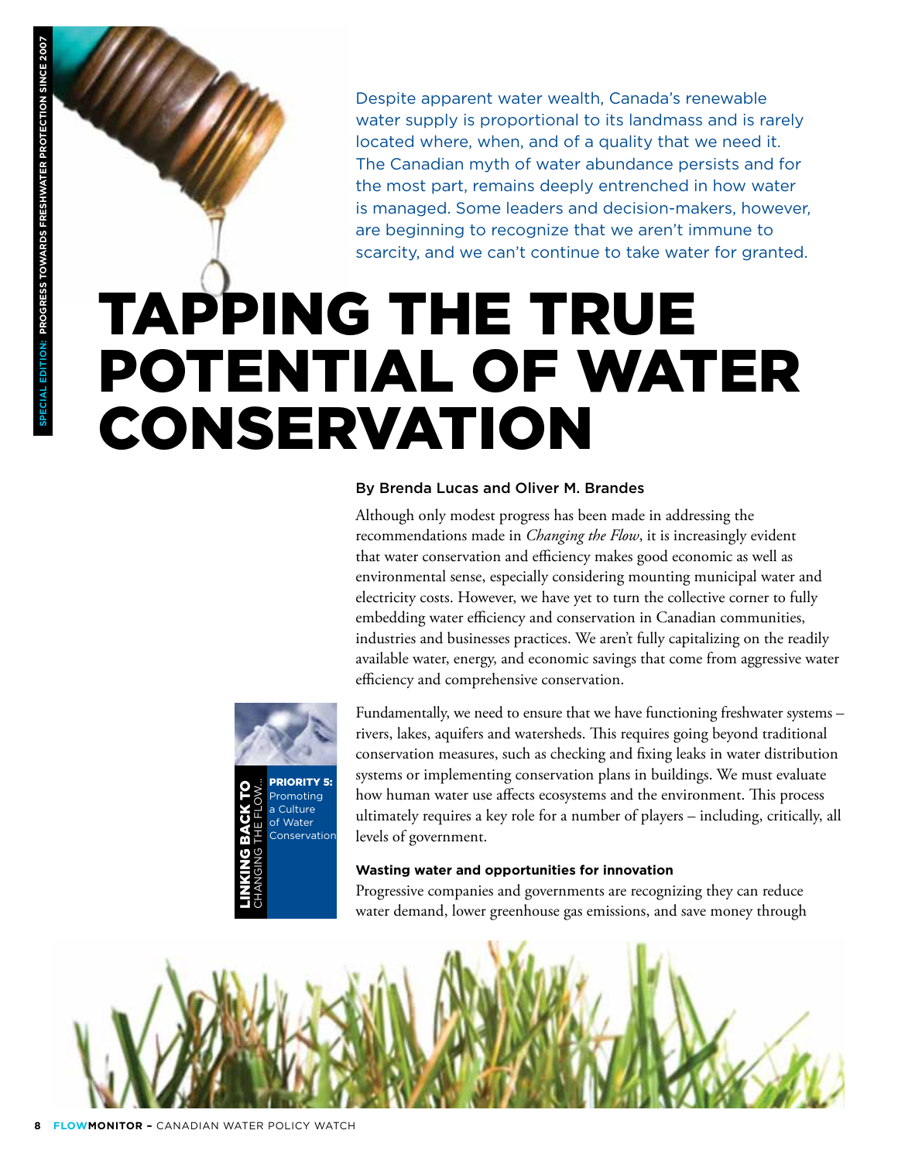Despite apparent water wealth, Canada's renewable water supply is proportional to its landmass and is rarely located where, when, and of a quality that we need it. The Canadian myth of water abundance persists and for the most part, remains deeply entrenched in how water is managed. Some leaders and decision-makers, however, are beginning to recognize that we aren't immune to scarcity, and we can't continue to take water for granted.

## Tapping the True Potential of Water Conservation

#### By Brenda Lucas and Oliver M. Brandes

Although only modest progress has been made in addressing the recommendations made in *Changing the Flow*, it is increasingly evident that water conservation and efficiency makes good economic as well as environmental sense, especially considering mounting municipal water and electricity costs. However, we have yet to turn the collective corner to fully embedding water efficiency and conservation in Canadian communities, industries and businesses practices. We aren't fully capitalizing on the readily available water, energy, and economic savings that come from aggressive water efficiency and comprehensive conservation.



omoting a Culture of Water **Conservation** Linking back t Changing the Flow...

Fundamentally, we need to ensure that we have functioning freshwater systems – rivers, lakes, aquifers and watersheds. This requires going beyond traditional conservation measures, such as checking and fixing leaks in water distribution systems or implementing conservation plans in buildings. We must evaluate how human water use affects ecosystems and the environment. This process ultimately requires a key role for a number of players – including, critically, all levels of government.

#### **Wasting water and opportunities for innovation**

Progressive companies and governments are recognizing they can reduce water demand, lower greenhouse gas emissions, and save money through

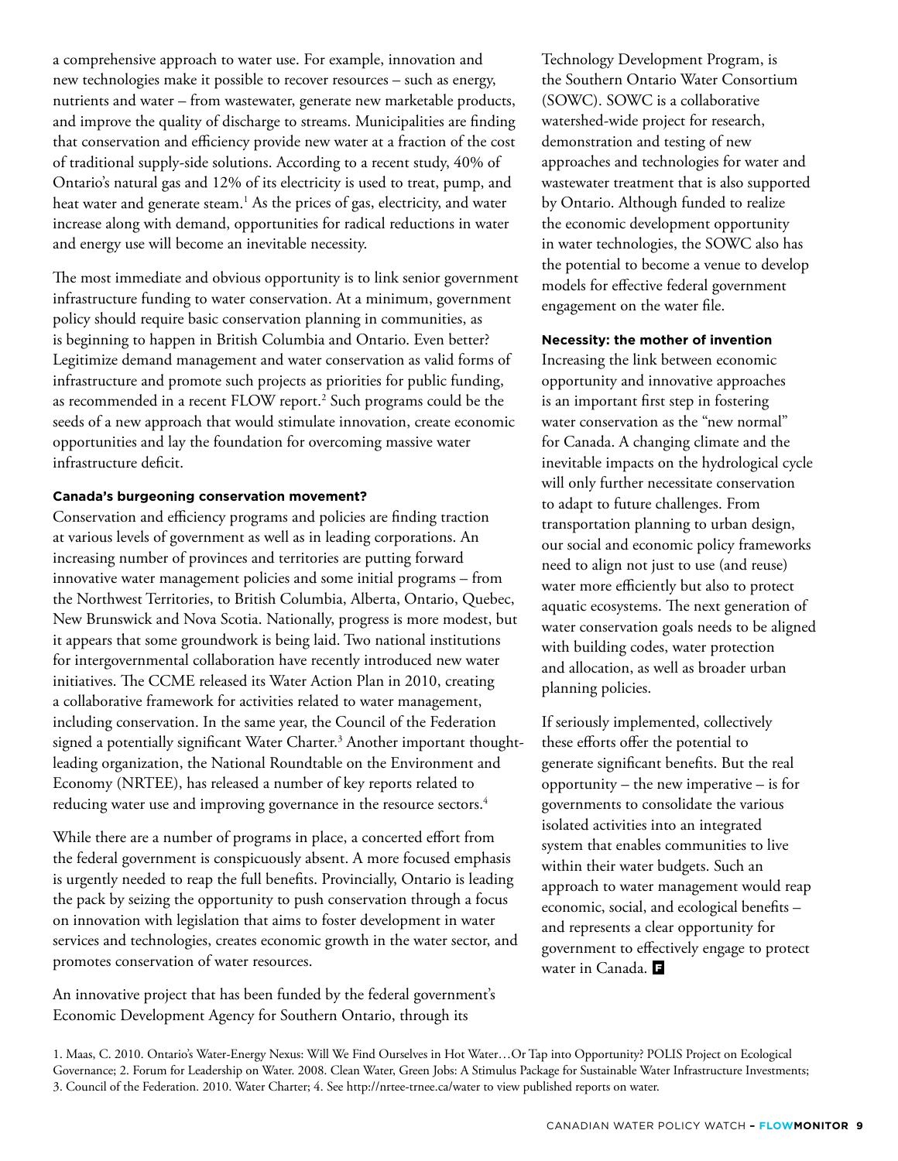a comprehensive approach to water use. For example, innovation and new technologies make it possible to recover resources – such as energy, nutrients and water – from wastewater, generate new marketable products, and improve the quality of discharge to streams. Municipalities are finding that conservation and efficiency provide new water at a fraction of the cost of traditional supply-side solutions. According to a recent study, 40% of Ontario's natural gas and 12% of its electricity is used to treat, pump, and heat water and generate steam.<sup>1</sup> As the prices of gas, electricity, and water increase along with demand, opportunities for radical reductions in water and energy use will become an inevitable necessity.

The most immediate and obvious opportunity is to link senior government infrastructure funding to water conservation. At a minimum, government policy should require basic conservation planning in communities, as is beginning to happen in British Columbia and Ontario. Even better? Legitimize demand management and water conservation as valid forms of infrastructure and promote such projects as priorities for public funding, as recommended in a recent FLOW report.<sup>2</sup> Such programs could be the seeds of a new approach that would stimulate innovation, create economic opportunities and lay the foundation for overcoming massive water infrastructure deficit.

#### **Canada's burgeoning conservation movement?**

Conservation and efficiency programs and policies are finding traction at various levels of government as well as in leading corporations. An increasing number of provinces and territories are putting forward innovative water management policies and some initial programs – from the Northwest Territories, to British Columbia, Alberta, Ontario, Quebec, New Brunswick and Nova Scotia. Nationally, progress is more modest, but it appears that some groundwork is being laid. Two national institutions for intergovernmental collaboration have recently introduced new water initiatives. The CCME released its Water Action Plan in 2010, creating a collaborative framework for activities related to water management, including conservation. In the same year, the Council of the Federation signed a potentially significant Water Charter.<sup>3</sup> Another important thoughtleading organization, the National Roundtable on the Environment and Economy (NRTEE), has released a number of key reports related to reducing water use and improving governance in the resource sectors.<sup>4</sup>

While there are a number of programs in place, a concerted effort from the federal government is conspicuously absent. A more focused emphasis is urgently needed to reap the full benefits. Provincially, Ontario is leading the pack by seizing the opportunity to push conservation through a focus on innovation with legislation that aims to foster development in water services and technologies, creates economic growth in the water sector, and promotes conservation of water resources.

An innovative project that has been funded by the federal government's Economic Development Agency for Southern Ontario, through its

Technology Development Program, is the Southern Ontario Water Consortium (SOWC). SOWC is a collaborative watershed-wide project for research, demonstration and testing of new approaches and technologies for water and wastewater treatment that is also supported by Ontario. Although funded to realize the economic development opportunity in water technologies, the SOWC also has the potential to become a venue to develop models for effective federal government engagement on the water file.

#### **Necessity: the mother of invention**

Increasing the link between economic opportunity and innovative approaches is an important first step in fostering water conservation as the "new normal" for Canada. A changing climate and the inevitable impacts on the hydrological cycle will only further necessitate conservation to adapt to future challenges. From transportation planning to urban design, our social and economic policy frameworks need to align not just to use (and reuse) water more efficiently but also to protect aquatic ecosystems. The next generation of water conservation goals needs to be aligned with building codes, water protection and allocation, as well as broader urban planning policies.

If seriously implemented, collectively these efforts offer the potential to generate significant benefits. But the real opportunity – the new imperative – is for governments to consolidate the various isolated activities into an integrated system that enables communities to live within their water budgets. Such an approach to water management would reap economic, social, and ecological benefits – and represents a clear opportunity for government to effectively engage to protect water in Canada.

1. Maas, C. 2010. Ontario's Water-Energy Nexus: Will We Find Ourselves in Hot Water…Or Tap into Opportunity? POLIS Project on Ecological Governance; 2. Forum for Leadership on Water. 2008. Clean Water, Green Jobs: A Stimulus Package for Sustainable Water Infrastructure Investments; 3. Council of the Federation. 2010. Water Charter; 4. See http://nrtee-trnee.ca/water to view published reports on water.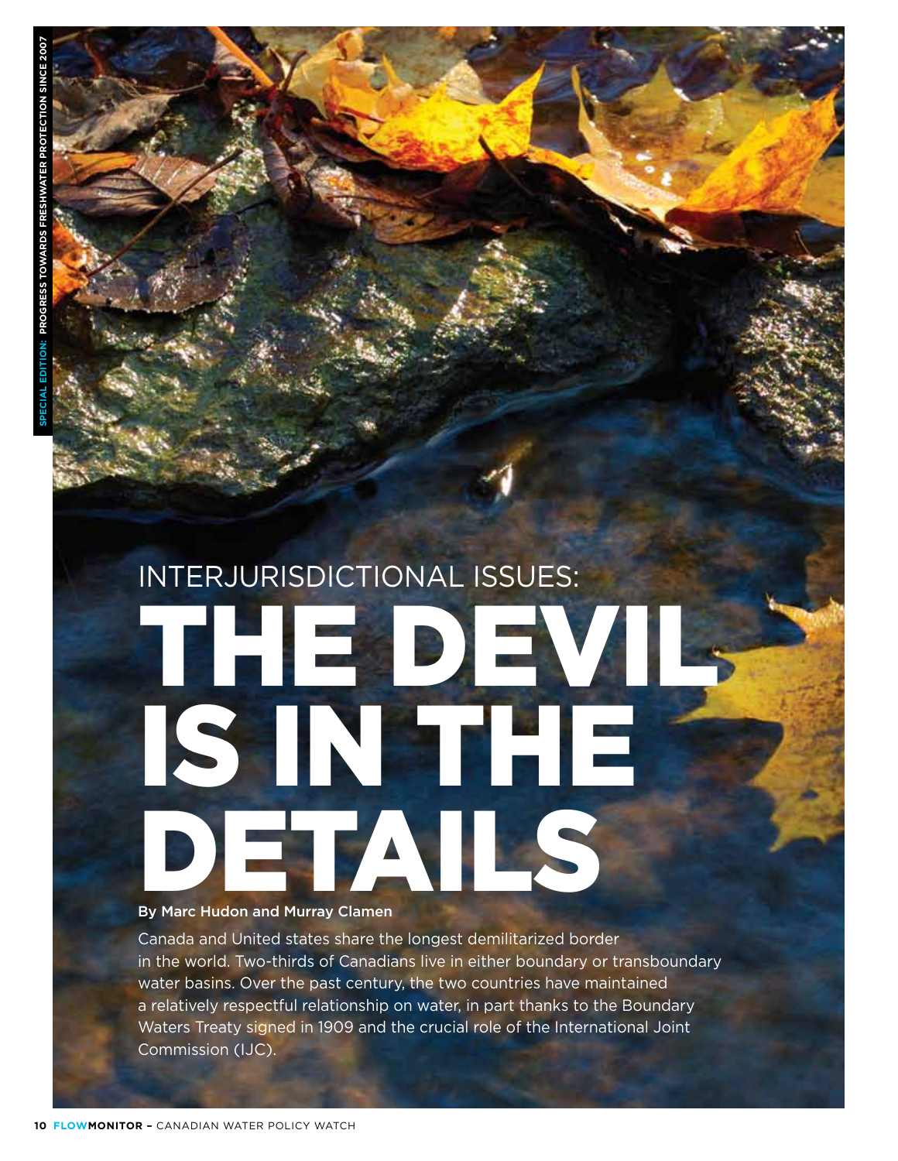# Interjurisdictional Issues: THE DEVI is in the By Marc Hudon and Murray Clamen

#### By Marc Hudon and Murray Clamen

Canada and United states share the longest demilitarized border in the world. Two-thirds of Canadians live in either boundary or transboundary water basins. Over the past century, the two countries have maintained a relatively respectful relationship on water, in part thanks to the Boundary Waters Treaty signed in 1909 and the crucial role of the International Joint Commission (IJC).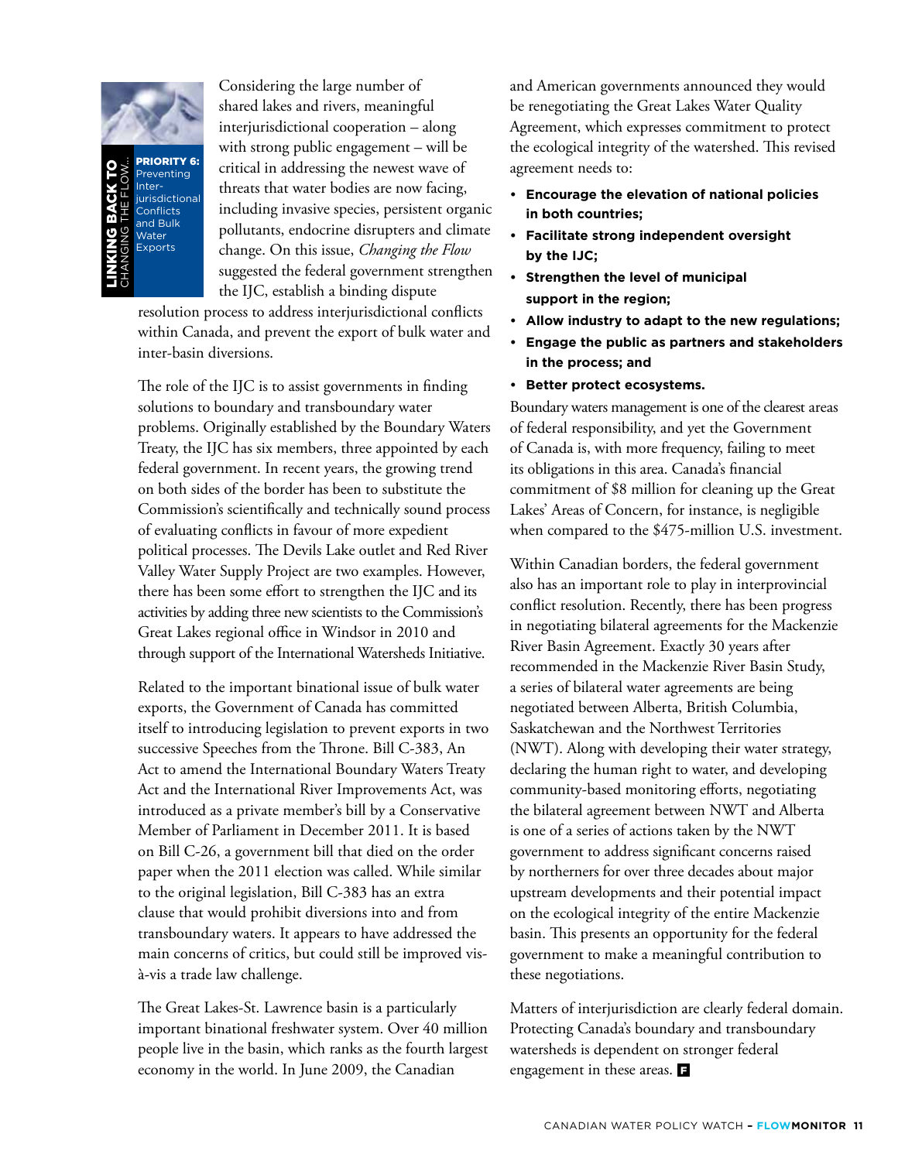

PRIORITY 6 Preventing Interiurisdictiona Conflicts and Bulk Water **Exports** Linking back t oChanging the Flow...

Considering the large number of shared lakes and rivers, meaningful interjurisdictional cooperation – along with strong public engagement – will be critical in addressing the newest wave of threats that water bodies are now facing, including invasive species, persistent organic pollutants, endocrine disrupters and climate change. On this issue, *Changing the Flow* suggested the federal government strengthen the IJC, establish a binding dispute

resolution process to address interjurisdictional conflicts within Canada, and prevent the export of bulk water and inter-basin diversions.

The role of the IJC is to assist governments in finding solutions to boundary and transboundary water problems. Originally established by the Boundary Waters Treaty, the IJC has six members, three appointed by each federal government. In recent years, the growing trend on both sides of the border has been to substitute the Commission's scientifically and technically sound process of evaluating conflicts in favour of more expedient political processes. The Devils Lake outlet and Red River Valley Water Supply Project are two examples. However, there has been some effort to strengthen the IJC and its activities by adding three new scientists to the Commission's Great Lakes regional office in Windsor in 2010 and through support of the International Watersheds Initiative.

Related to the important binational issue of bulk water exports, the Government of Canada has committed itself to introducing legislation to prevent exports in two successive Speeches from the Throne. Bill C-383, An Act to amend the International Boundary Waters Treaty Act and the International River Improvements Act, was introduced as a private member's bill by a Conservative Member of Parliament in December 2011. It is based on Bill C-26, a government bill that died on the order paper when the 2011 election was called. While similar to the original legislation, Bill C-383 has an extra clause that would prohibit diversions into and from transboundary waters. It appears to have addressed the main concerns of critics, but could still be improved visà-vis a trade law challenge.

The Great Lakes-St. Lawrence basin is a particularly important binational freshwater system. Over 40 million people live in the basin, which ranks as the fourth largest economy in the world. In June 2009, the Canadian

and American governments announced they would be renegotiating the Great Lakes Water Quality Agreement, which expresses commitment to protect the ecological integrity of the watershed. This revised agreement needs to:

- **Encourage the elevation of national policies in both countries;**
- **Facilitate strong independent oversight by the IJC;**
- **Strengthen the level of municipal support in the region;**
- **Allow industry to adapt to the new regulations;**
- **Engage the public as partners and stakeholders in the process; and**
- **• Better protect ecosystems.**

Boundary waters management is one of the clearest areas of federal responsibility, and yet the Government of Canada is, with more frequency, failing to meet its obligations in this area. Canada's financial commitment of \$8 million for cleaning up the Great Lakes' Areas of Concern, for instance, is negligible when compared to the \$475-million U.S. investment.

Within Canadian borders, the federal government also has an important role to play in interprovincial conflict resolution. Recently, there has been progress in negotiating bilateral agreements for the Mackenzie River Basin Agreement. Exactly 30 years after recommended in the Mackenzie River Basin Study, a series of bilateral water agreements are being negotiated between Alberta, British Columbia, Saskatchewan and the Northwest Territories (NWT). Along with developing their water strategy, declaring the human right to water, and developing community-based monitoring efforts, negotiating the bilateral agreement between NWT and Alberta is one of a series of actions taken by the NWT government to address significant concerns raised by northerners for over three decades about major upstream developments and their potential impact on the ecological integrity of the entire Mackenzie basin. This presents an opportunity for the federal government to make a meaningful contribution to these negotiations.

Matters of interjurisdiction are clearly federal domain. Protecting Canada's boundary and transboundary watersheds is dependent on stronger federal engagement in these areas.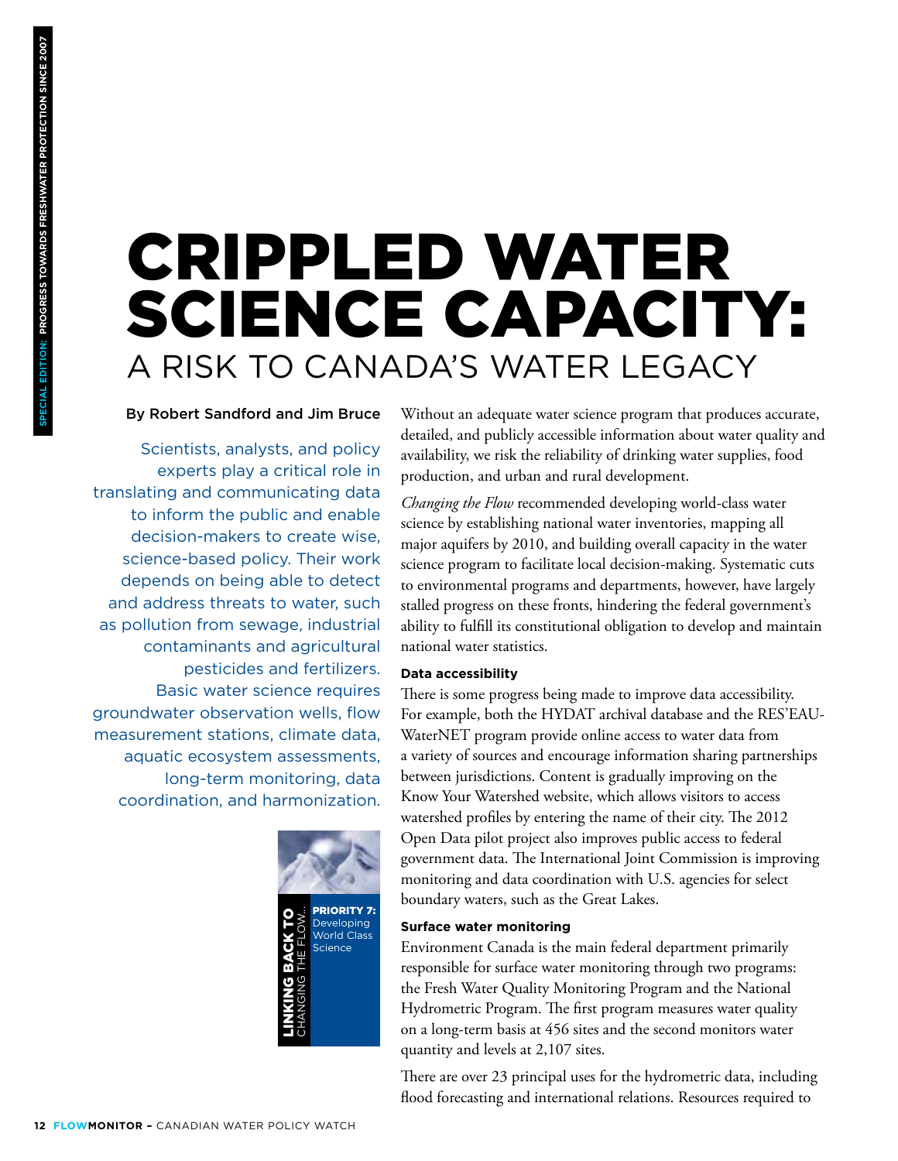## Crippled Water Science Capacity: A Risk to Canada's Water Legacy

#### By Robert Sandford and Jim Bruce

Scientists, analysts, and policy experts play a critical role in translating and communicating data to inform the public and enable decision-makers to create wise, science-based policy. Their work depends on being able to detect and address threats to water, such as pollution from sewage, industrial contaminants and agricultural pesticides and fertilizers. Basic water science requires groundwater observation wells, flow measurement stations, climate data, aquatic ecosystem assessments, long-term monitoring, data coordination, and harmonization.



Without an adequate water science program that produces accurate, detailed, and publicly accessible information about water quality and availability, we risk the reliability of drinking water supplies, food production, and urban and rural development.

*Changing the Flow* recommended developing world-class water science by establishing national water inventories, mapping all major aquifers by 2010, and building overall capacity in the water science program to facilitate local decision-making. Systematic cuts to environmental programs and departments, however, have largely stalled progress on these fronts, hindering the federal government's ability to fulfill its constitutional obligation to develop and maintain national water statistics.

#### **Data accessibility**

There is some progress being made to improve data accessibility. For example, both the HYDAT archival database and the RES'EAU-WaterNET program provide online access to water data from a variety of sources and encourage information sharing partnerships between jurisdictions. Content is gradually improving on the Know Your Watershed website, which allows visitors to access watershed profiles by entering the name of their city. The 2012 Open Data pilot project also improves public access to federal government data. The International Joint Commission is improving monitoring and data coordination with U.S. agencies for select boundary waters, such as the Great Lakes.

#### **Surface water monitoring**

Environment Canada is the main federal department primarily responsible for surface water monitoring through two programs: the Fresh Water Quality Monitoring Program and the National Hydrometric Program. The first program measures water quality on a long-term basis at 456 sites and the second monitors water quantity and levels at 2,107 sites.

There are over 23 principal uses for the hydrometric data, including flood forecasting and international relations. Resources required to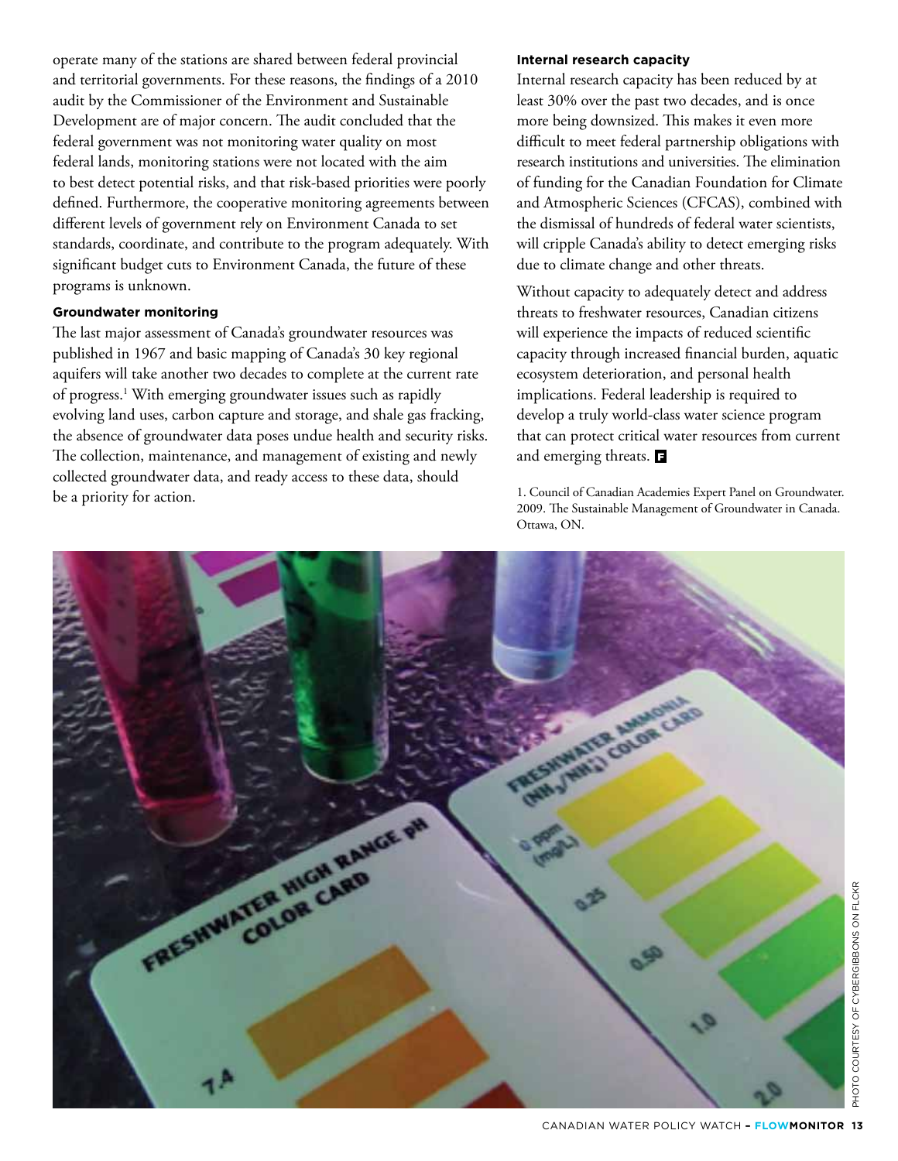operate many of the stations are shared between federal provincial and territorial governments. For these reasons, the findings of a 2010 audit by the Commissioner of the Environment and Sustainable Development are of major concern. The audit concluded that the federal government was not monitoring water quality on most federal lands, monitoring stations were not located with the aim to best detect potential risks, and that risk-based priorities were poorly defined. Furthermore, the cooperative monitoring agreements between different levels of government rely on Environment Canada to set standards, coordinate, and contribute to the program adequately. With significant budget cuts to Environment Canada, the future of these programs is unknown.

#### **Groundwater monitoring**

The last major assessment of Canada's groundwater resources was published in 1967 and basic mapping of Canada's 30 key regional aquifers will take another two decades to complete at the current rate of progress.<sup>1</sup> With emerging groundwater issues such as rapidly evolving land uses, carbon capture and storage, and shale gas fracking, the absence of groundwater data poses undue health and security risks. The collection, maintenance, and management of existing and newly collected groundwater data, and ready access to these data, should be a priority for action.

#### **Internal research capacity**

Internal research capacity has been reduced by at least 30% over the past two decades, and is once more being downsized. This makes it even more difficult to meet federal partnership obligations with research institutions and universities. The elimination of funding for the Canadian Foundation for Climate and Atmospheric Sciences (CFCAS), combined with the dismissal of hundreds of federal water scientists, will cripple Canada's ability to detect emerging risks due to climate change and other threats.

Without capacity to adequately detect and address threats to freshwater resources, Canadian citizens will experience the impacts of reduced scientific capacity through increased financial burden, aquatic ecosystem deterioration, and personal health implications. Federal leadership is required to develop a truly world-class water science program that can protect critical water resources from current and emerging threats. **E** 

1. Council of Canadian Academies Expert Panel on Groundwater. 2009. The Sustainable Management of Groundwater in Canada. Ottawa, ON.

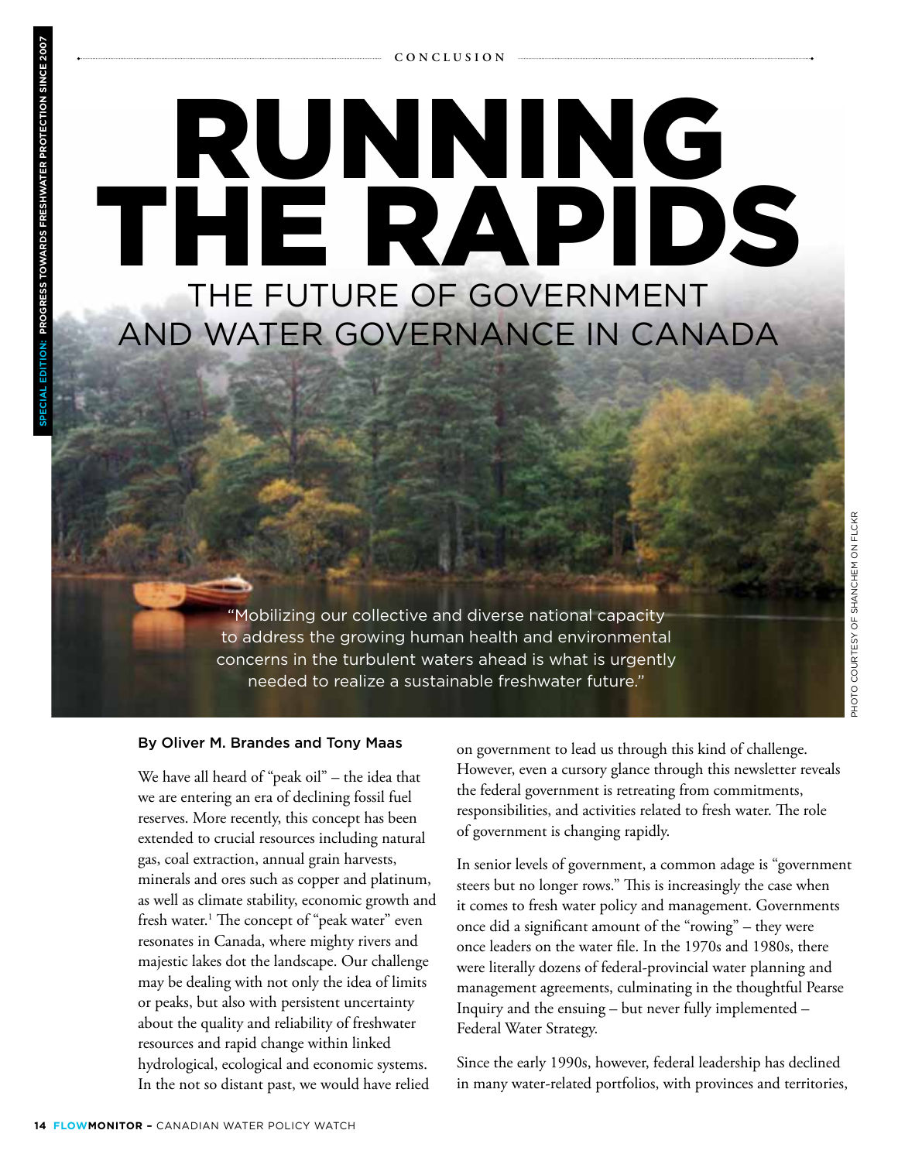## Running the Rapids The Future of Government and Water Governance in Canada

"Mobilizing our collective and diverse national capacity to address the growing human health and environmental concerns in the turbulent waters ahead is what is urgently needed to realize a sustainable freshwater future."

#### By Oliver M. Brandes and Tony Maas

We have all heard of "peak oil" – the idea that we are entering an era of declining fossil fuel reserves. More recently, this concept has been extended to crucial resources including natural gas, coal extraction, annual grain harvests, minerals and ores such as copper and platinum, as well as climate stability, economic growth and fresh water.<sup>1</sup> The concept of "peak water" even resonates in Canada, where mighty rivers and majestic lakes dot the landscape. Our challenge may be dealing with not only the idea of limits or peaks, but also with persistent uncertainty about the quality and reliability of freshwater resources and rapid change within linked hydrological, ecological and economic systems. In the not so distant past, we would have relied

on government to lead us through this kind of challenge. However, even a cursory glance through this newsletter reveals the federal government is retreating from commitments, responsibilities, and activities related to fresh water. The role of government is changing rapidly.

In senior levels of government, a common adage is "government steers but no longer rows." This is increasingly the case when it comes to fresh water policy and management. Governments once did a significant amount of the "rowing" – they were once leaders on the water file. In the 1970s and 1980s, there were literally dozens of federal-provincial water planning and management agreements, culminating in the thoughtful Pearse Inquiry and the ensuing – but never fully implemented – Federal Water Strategy.

Since the early 1990s, however, federal leadership has declined in many water-related portfolios, with provinces and territories,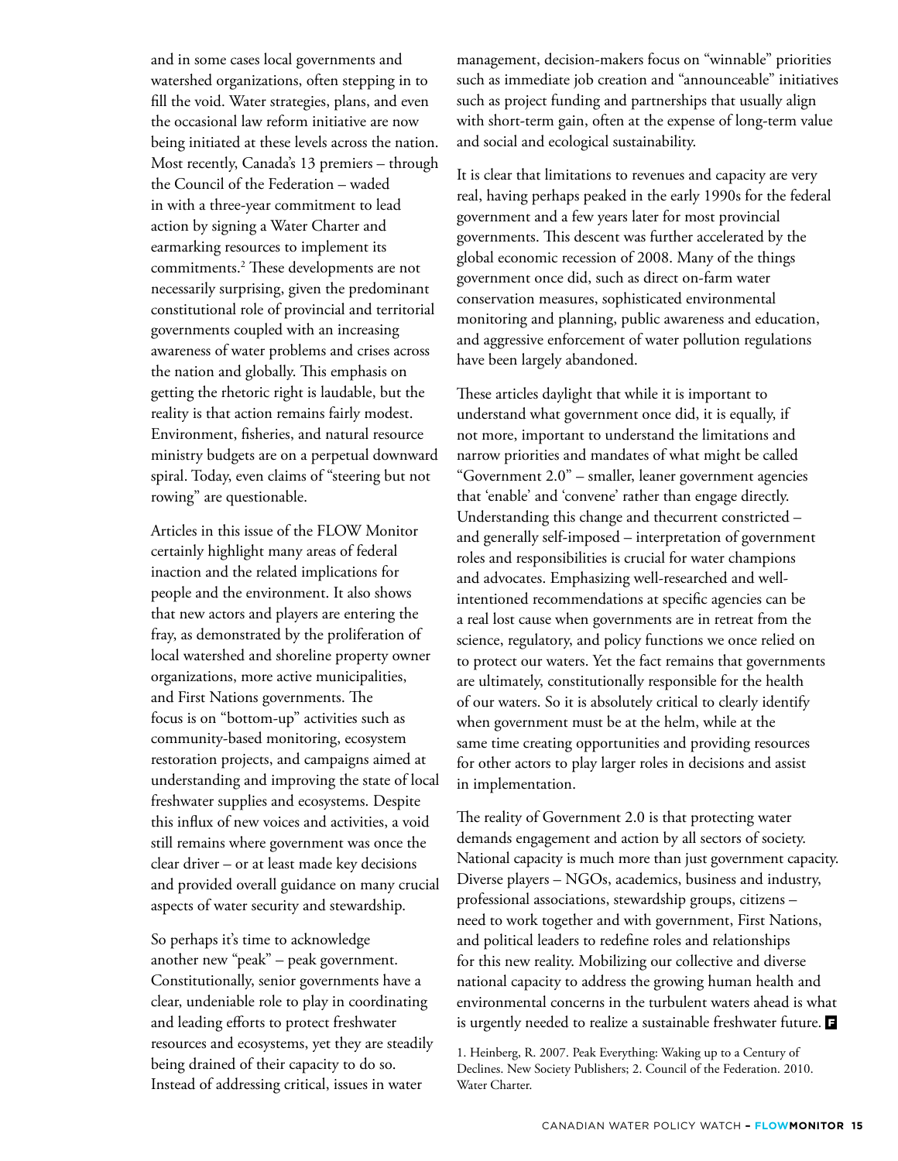and in some cases local governments and watershed organizations, often stepping in to fill the void. Water strategies, plans, and even the occasional law reform initiative are now being initiated at these levels across the nation. Most recently, Canada's 13 premiers – through the Council of the Federation – waded in with a three-year commitment to lead action by signing a Water Charter and earmarking resources to implement its commitments.2 These developments are not necessarily surprising, given the predominant constitutional role of provincial and territorial governments coupled with an increasing awareness of water problems and crises across the nation and globally. This emphasis on getting the rhetoric right is laudable, but the reality is that action remains fairly modest. Environment, fisheries, and natural resource ministry budgets are on a perpetual downward spiral. Today, even claims of "steering but not rowing" are questionable.

Articles in this issue of the FLOW Monitor certainly highlight many areas of federal inaction and the related implications for people and the environment. It also shows that new actors and players are entering the fray, as demonstrated by the proliferation of local watershed and shoreline property owner organizations, more active municipalities, and First Nations governments. The focus is on "bottom-up" activities such as community-based monitoring, ecosystem restoration projects, and campaigns aimed at understanding and improving the state of local freshwater supplies and ecosystems. Despite this influx of new voices and activities, a void still remains where government was once the clear driver – or at least made key decisions and provided overall guidance on many crucial aspects of water security and stewardship.

So perhaps it's time to acknowledge another new "peak" – peak government. Constitutionally, senior governments have a clear, undeniable role to play in coordinating and leading efforts to protect freshwater resources and ecosystems, yet they are steadily being drained of their capacity to do so. Instead of addressing critical, issues in water

management, decision-makers focus on "winnable" priorities such as immediate job creation and "announceable" initiatives such as project funding and partnerships that usually align with short-term gain, often at the expense of long-term value and social and ecological sustainability.

It is clear that limitations to revenues and capacity are very real, having perhaps peaked in the early 1990s for the federal government and a few years later for most provincial governments. This descent was further accelerated by the global economic recession of 2008. Many of the things government once did, such as direct on-farm water conservation measures, sophisticated environmental monitoring and planning, public awareness and education, and aggressive enforcement of water pollution regulations have been largely abandoned.

These articles daylight that while it is important to understand what government once did, it is equally, if not more, important to understand the limitations and narrow priorities and mandates of what might be called "Government 2.0" – smaller, leaner government agencies that 'enable' and 'convene' rather than engage directly. Understanding this change and thecurrent constricted – and generally self-imposed – interpretation of government roles and responsibilities is crucial for water champions and advocates. Emphasizing well-researched and wellintentioned recommendations at specific agencies can be a real lost cause when governments are in retreat from the science, regulatory, and policy functions we once relied on to protect our waters. Yet the fact remains that governments are ultimately, constitutionally responsible for the health of our waters. So it is absolutely critical to clearly identify when government must be at the helm, while at the same time creating opportunities and providing resources for other actors to play larger roles in decisions and assist in implementation.

The reality of Government 2.0 is that protecting water demands engagement and action by all sectors of society. National capacity is much more than just government capacity. Diverse players – NGOs, academics, business and industry, professional associations, stewardship groups, citizens – need to work together and with government, First Nations, and political leaders to redefine roles and relationships for this new reality. Mobilizing our collective and diverse national capacity to address the growing human health and environmental concerns in the turbulent waters ahead is what is urgently needed to realize a sustainable freshwater future.  $\blacksquare$ 

<sup>1.</sup> Heinberg, R. 2007. Peak Everything: Waking up to a Century of Declines. New Society Publishers; 2. Council of the Federation. 2010. Water Charter.